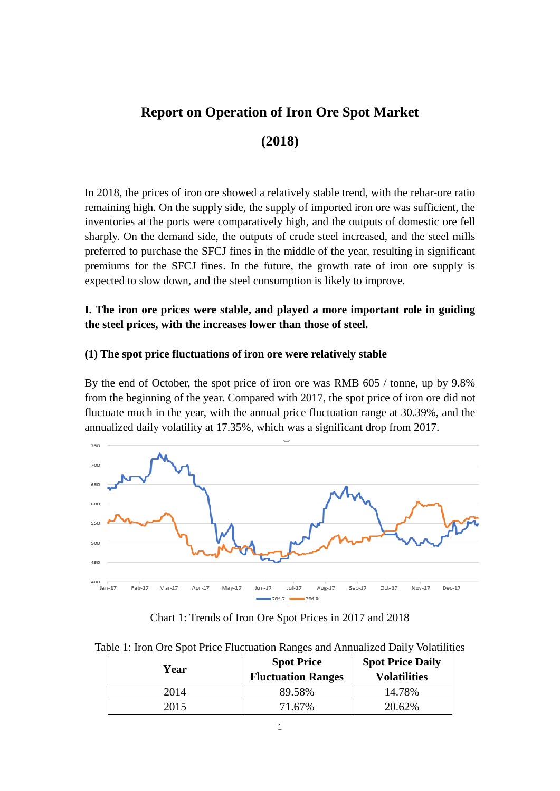# **Report on Operation of Iron Ore Spot Market**

# **(2018)**

In 2018, the prices of iron ore showed a relatively stable trend, with the rebar-ore ratio remaining high. On the supply side, the supply of imported iron ore was sufficient, the inventories at the ports were comparatively high, and the outputs of domestic ore fell sharply. On the demand side, the outputs of crude steel increased, and the steel mills preferred to purchase the SFCJ fines in the middle of the year, resulting in significant premiums for the SFCJ fines. In the future, the growth rate of iron ore supply is expected to slow down, and the steel consumption is likely to improve.

## **I. The iron ore prices were stable, and played a more important role in guiding the steel prices, with the increases lower than those of steel.**

#### **(1) The spot price fluctuations of iron ore were relatively stable**

By the end of October, the spot price of iron ore was RMB 605 / tonne, up by 9.8% from the beginning of the year. Compared with 2017, the spot price of iron ore did not fluctuate much in the year, with the annual price fluctuation range at 30.39%, and the annualized daily volatility at 17.35%, which was a significant drop from 2017.



Chart 1: Trends of Iron Ore Spot Prices in 2017 and 2018

Table 1: Iron Ore Spot Price Fluctuation Ranges and Annualized Daily Volatilities

| Year | <b>Spot Price</b><br><b>Fluctuation Ranges</b> | <b>Spot Price Daily</b><br><b>Volatilities</b> |  |  |
|------|------------------------------------------------|------------------------------------------------|--|--|
| 2014 | 89.58%                                         | 14.78%                                         |  |  |
| 2015 | 71.67%                                         | 20.62%                                         |  |  |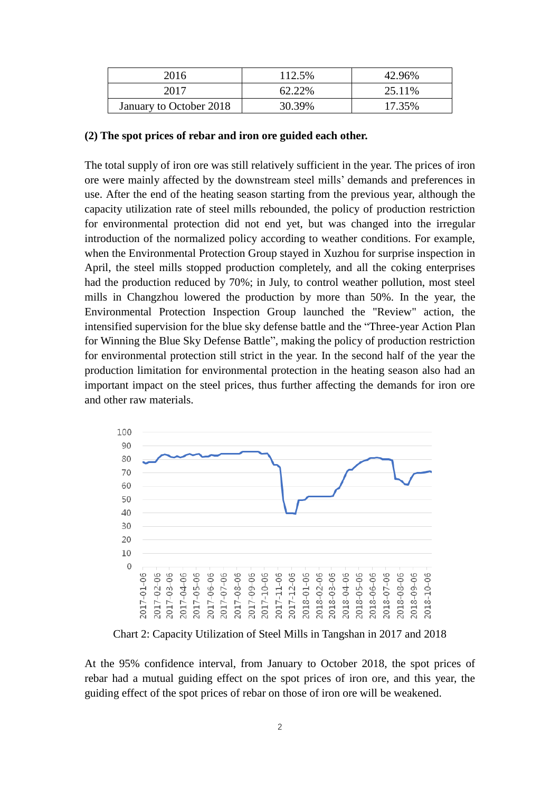| 2016                    | 112.5% | 42.96% |
|-------------------------|--------|--------|
| 2017                    | 62.22% | 25.11% |
| January to October 2018 | 30.39% | 17.35% |

#### **(2) The spot prices of rebar and iron ore guided each other.**

The total supply of iron ore was still relatively sufficient in the year. The prices of iron ore were mainly affected by the downstream steel mills' demands and preferences in use. After the end of the heating season starting from the previous year, although the capacity utilization rate of steel mills rebounded, the policy of production restriction for environmental protection did not end yet, but was changed into the irregular introduction of the normalized policy according to weather conditions. For example, when the Environmental Protection Group stayed in Xuzhou for surprise inspection in April, the steel mills stopped production completely, and all the coking enterprises had the production reduced by 70%; in July, to control weather pollution, most steel mills in Changzhou lowered the production by more than 50%. In the year, the Environmental Protection Inspection Group launched the "Review" action, the intensified supervision for the blue sky defense battle and the "Three-year Action Plan for Winning the Blue Sky Defense Battle", making the policy of production restriction for environmental protection still strict in the year. In the second half of the year the production limitation for environmental protection in the heating season also had an important impact on the steel prices, thus further affecting the demands for iron ore and other raw materials.



Chart 2: Capacity Utilization of Steel Mills in Tangshan in 2017 and 2018

At the 95% confidence interval, from January to October 2018, the spot prices of rebar had a mutual guiding effect on the spot prices of iron ore, and this year, the guiding effect of the spot prices of rebar on those of iron ore will be weakened.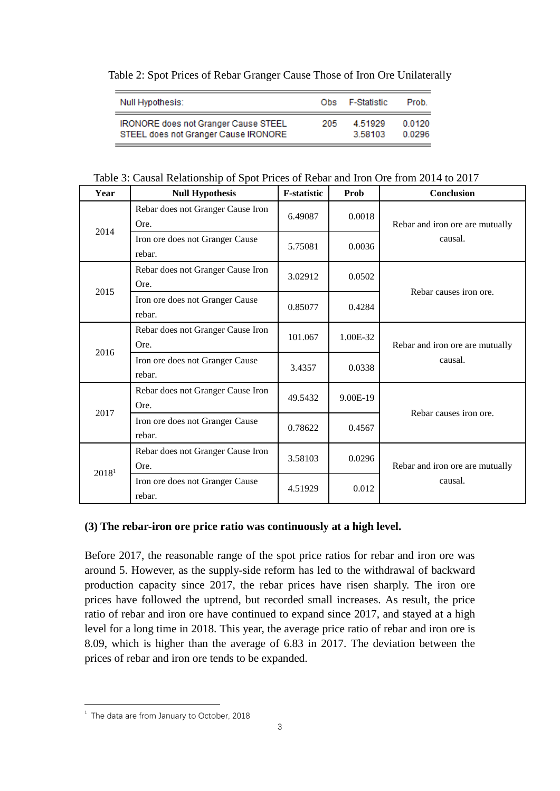### Table 2: Spot Prices of Rebar Granger Cause Those of Iron Ore Unilaterally

| Null Hypothesis:                            | Ohs. | F-Statistic | Prob.  |
|---------------------------------------------|------|-------------|--------|
| <b>IRONORE does not Granger Cause STEEL</b> | 205  | 4.51929     | 0.0120 |
| STEEL does not Granger Cause IRONORE        |      | 3.58103     | 0.0296 |

#### Table 3: Causal Relationship of Spot Prices of Rebar and Iron Ore from 2014 to 2017

| Year              | <b>Null Hypothesis</b>                    | <b>F-statistic</b> | Prob     | Conclusion                      |  |  |
|-------------------|-------------------------------------------|--------------------|----------|---------------------------------|--|--|
| 2014              | Rebar does not Granger Cause Iron<br>Ore. | 6.49087            | 0.0018   | Rebar and iron ore are mutually |  |  |
|                   | Iron ore does not Granger Cause<br>rebar. | 5.75081            | 0.0036   | causal.                         |  |  |
| 2015              | Rebar does not Granger Cause Iron<br>Ore. | 3.02912            | 0.0502   | Rebar causes iron ore.          |  |  |
|                   | Iron ore does not Granger Cause<br>rebar. | 0.85077            | 0.4284   |                                 |  |  |
| 2016              | Rebar does not Granger Cause Iron<br>Ore. | 101.067            | 1.00E-32 | Rebar and iron ore are mutually |  |  |
|                   | Iron ore does not Granger Cause<br>rebar. | 3.4357             | 0.0338   | causal.                         |  |  |
| 2017              | Rebar does not Granger Cause Iron<br>Ore. | 49.5432            | 9.00E-19 | Rebar causes iron ore.          |  |  |
|                   | Iron ore does not Granger Cause<br>rebar. | 0.78622            | 0.4567   |                                 |  |  |
| 2018 <sup>1</sup> | Rebar does not Granger Cause Iron<br>Ore. | 3.58103            | 0.0296   | Rebar and iron ore are mutually |  |  |
|                   | Iron ore does not Granger Cause<br>rebar. | 4.51929            | 0.012    | causal.                         |  |  |

#### **(3) The rebar-iron ore price ratio was continuously at a high level.**

Before 2017, the reasonable range of the spot price ratios for rebar and iron ore was around 5. However, as the supply-side reform has led to the withdrawal of backward production capacity since 2017, the rebar prices have risen sharply. The iron ore prices have followed the uptrend, but recorded small increases. As result, the price ratio of rebar and iron ore have continued to expand since 2017, and stayed at a high level for a long time in 2018. This year, the average price ratio of rebar and iron ore is 8.09, which is higher than the average of 6.83 in 2017. The deviation between the prices of rebar and iron ore tends to be expanded.

1

 $1$  The data are from January to October, 2018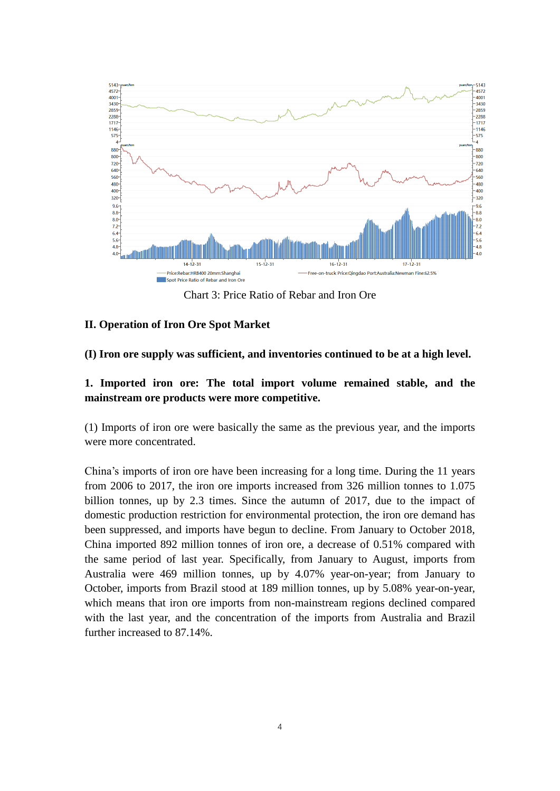

Chart 3: Price Ratio of Rebar and Iron Ore

### **II. Operation of Iron Ore Spot Market**

#### **(I) Iron ore supply was sufficient, and inventories continued to be at a high level.**

## **1. Imported iron ore: The total import volume remained stable, and the mainstream ore products were more competitive.**

(1) Imports of iron ore were basically the same as the previous year, and the imports were more concentrated.

China's imports of iron ore have been increasing for a long time. During the 11 years from 2006 to 2017, the iron ore imports increased from 326 million tonnes to 1.075 billion tonnes, up by 2.3 times. Since the autumn of 2017, due to the impact of domestic production restriction for environmental protection, the iron ore demand has been suppressed, and imports have begun to decline. From January to October 2018, China imported 892 million tonnes of iron ore, a decrease of 0.51% compared with the same period of last year. Specifically, from January to August, imports from Australia were 469 million tonnes, up by 4.07% year-on-year; from January to October, imports from Brazil stood at 189 million tonnes, up by 5.08% year-on-year, which means that iron ore imports from non-mainstream regions declined compared with the last year, and the concentration of the imports from Australia and Brazil further increased to 87.14%.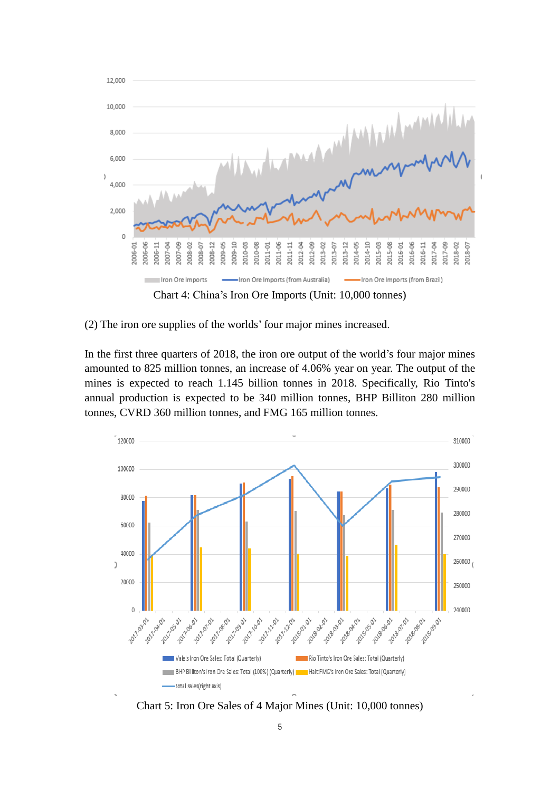

(2) The iron ore supplies of the worlds' four major mines increased.

In the first three quarters of 2018, the iron ore output of the world's four major mines amounted to 825 million tonnes, an increase of 4.06% year on year. The output of the mines is expected to reach 1.145 billion tonnes in 2018. Specifically, Rio Tinto's annual production is expected to be 340 million tonnes, BHP Billiton 280 million tonnes, CVRD 360 million tonnes, and FMG 165 million tonnes.



Chart 5: Iron Ore Sales of 4 Major Mines (Unit: 10,000 tonnes)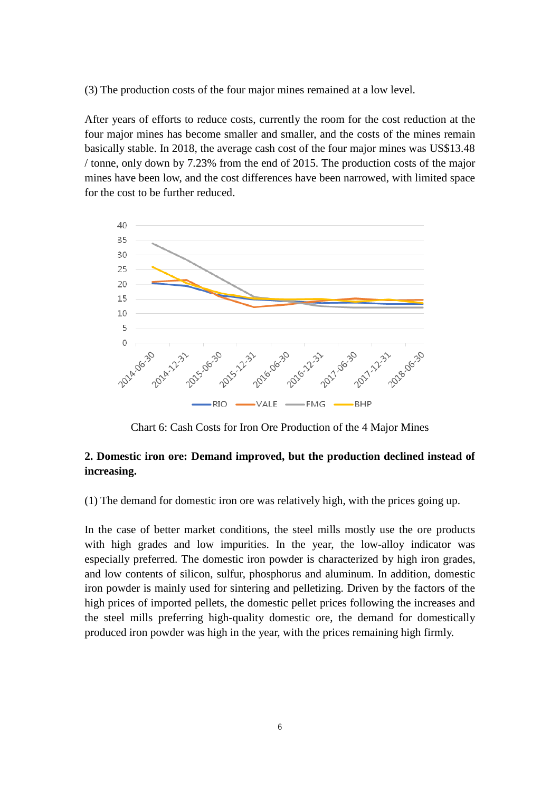(3) The production costs of the four major mines remained at a low level.

After years of efforts to reduce costs, currently the room for the cost reduction at the four major mines has become smaller and smaller, and the costs of the mines remain basically stable. In 2018, the average cash cost of the four major mines was US\$13.48 / tonne, only down by 7.23% from the end of 2015. The production costs of the major mines have been low, and the cost differences have been narrowed, with limited space for the cost to be further reduced.



Chart 6: Cash Costs for Iron Ore Production of the 4 Major Mines

### **2. Domestic iron ore: Demand improved, but the production declined instead of increasing.**

(1) The demand for domestic iron ore was relatively high, with the prices going up.

In the case of better market conditions, the steel mills mostly use the ore products with high grades and low impurities. In the year, the low-alloy indicator was especially preferred. The domestic iron powder is characterized by high iron grades, and low contents of silicon, sulfur, phosphorus and aluminum. In addition, domestic iron powder is mainly used for sintering and pelletizing. Driven by the factors of the high prices of imported pellets, the domestic pellet prices following the increases and the steel mills preferring high-quality domestic ore, the demand for domestically produced iron powder was high in the year, with the prices remaining high firmly.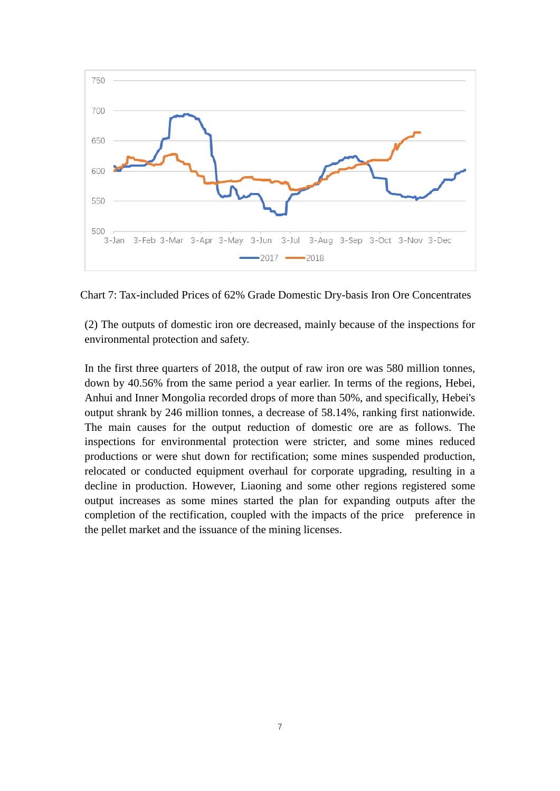

Chart 7: Tax-included Prices of 62% Grade Domestic Dry-basis Iron Ore Concentrates

(2) The outputs of domestic iron ore decreased, mainly because of the inspections for environmental protection and safety.

In the first three quarters of 2018, the output of raw iron ore was 580 million tonnes, down by 40.56% from the same period a year earlier. In terms of the regions, Hebei, Anhui and Inner Mongolia recorded drops of more than 50%, and specifically, Hebei's output shrank by 246 million tonnes, a decrease of 58.14%, ranking first nationwide. The main causes for the output reduction of domestic ore are as follows. The inspections for environmental protection were stricter, and some mines reduced productions or were shut down for rectification; some mines suspended production, relocated or conducted equipment overhaul for corporate upgrading, resulting in a decline in production. However, Liaoning and some other regions registered some output increases as some mines started the plan for expanding outputs after the completion of the rectification, coupled with the impacts of the price preference in the pellet market and the issuance of the mining licenses.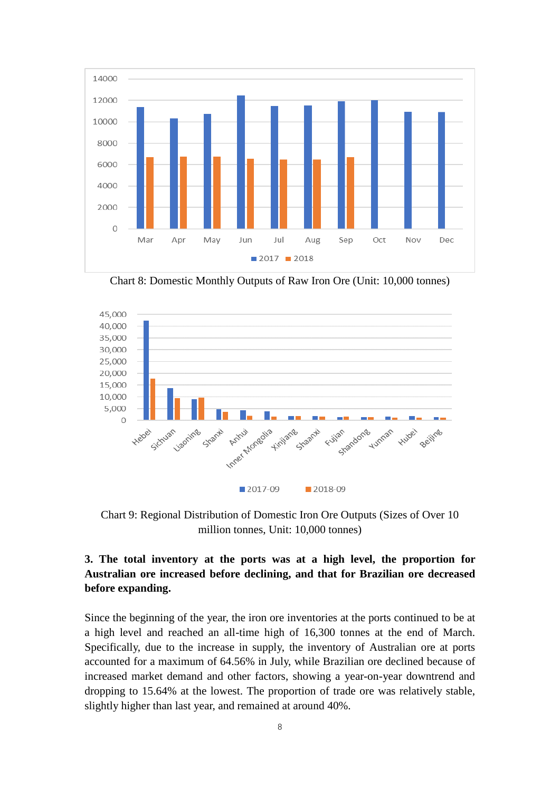

Chart 8: Domestic Monthly Outputs of Raw Iron Ore (Unit: 10,000 tonnes)



Chart 9: Regional Distribution of Domestic Iron Ore Outputs (Sizes of Over 10 million tonnes, Unit: 10,000 tonnes)

# **3. The total inventory at the ports was at a high level, the proportion for Australian ore increased before declining, and that for Brazilian ore decreased before expanding.**

Since the beginning of the year, the iron ore inventories at the ports continued to be at a high level and reached an all-time high of 16,300 tonnes at the end of March. Specifically, due to the increase in supply, the inventory of Australian ore at ports accounted for a maximum of 64.56% in July, while Brazilian ore declined because of increased market demand and other factors, showing a year-on-year downtrend and dropping to 15.64% at the lowest. The proportion of trade ore was relatively stable, slightly higher than last year, and remained at around 40%.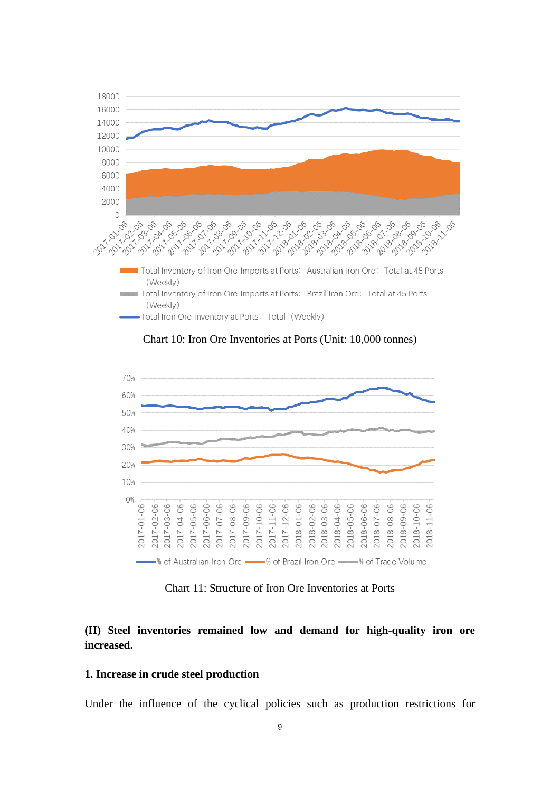

Chart 10: Iron Ore Inventories at Ports (Unit: 10,000 tonnes)



Chart 11: Structure of Iron Ore Inventories at Ports

### **(II) Steel inventories remained low and demand for high-quality iron ore increased.**

#### **1. Increase in crude steel production**

Under the influence of the cyclical policies such as production restrictions for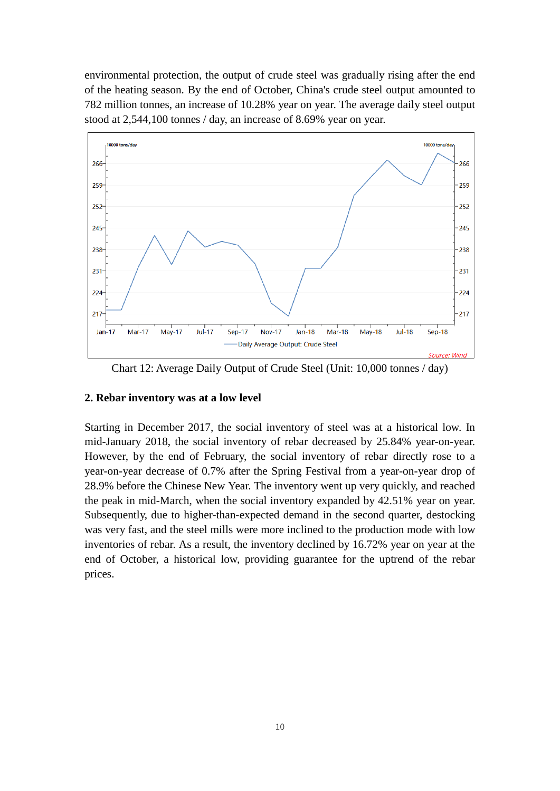environmental protection, the output of crude steel was gradually rising after the end of the heating season. By the end of October, China's crude steel output amounted to 782 million tonnes, an increase of 10.28% year on year. The average daily steel output stood at 2,544,100 tonnes / day, an increase of 8.69% year on year.



Chart 12: Average Daily Output of Crude Steel (Unit: 10,000 tonnes / day)

#### **2. Rebar inventory was at a low level**

Starting in December 2017, the social inventory of steel was at a historical low. In mid-January 2018, the social inventory of rebar decreased by 25.84% year-on-year. However, by the end of February, the social inventory of rebar directly rose to a year-on-year decrease of 0.7% after the Spring Festival from a year-on-year drop of 28.9% before the Chinese New Year. The inventory went up very quickly, and reached the peak in mid-March, when the social inventory expanded by 42.51% year on year. Subsequently, due to higher-than-expected demand in the second quarter, destocking was very fast, and the steel mills were more inclined to the production mode with low inventories of rebar. As a result, the inventory declined by 16.72% year on year at the end of October, a historical low, providing guarantee for the uptrend of the rebar prices.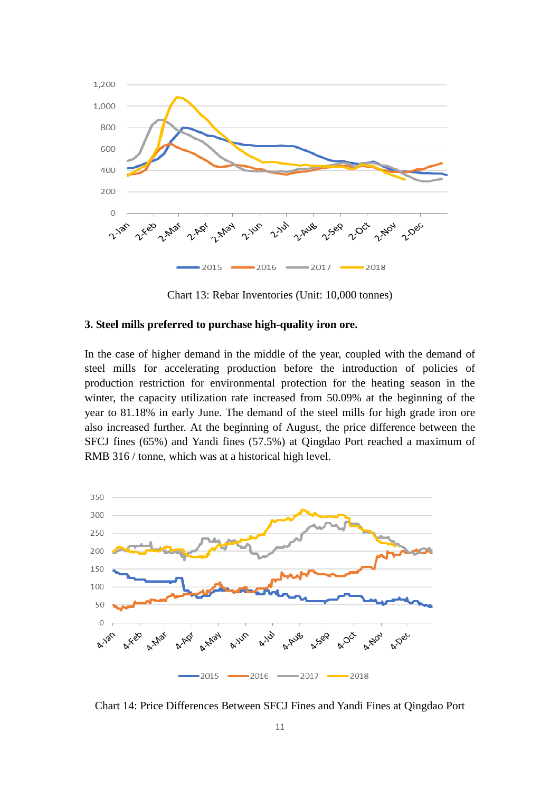

Chart 13: Rebar Inventories (Unit: 10,000 tonnes)

#### **3. Steel mills preferred to purchase high-quality iron ore.**

In the case of higher demand in the middle of the year, coupled with the demand of steel mills for accelerating production before the introduction of policies of production restriction for environmental protection for the heating season in the winter, the capacity utilization rate increased from 50.09% at the beginning of the year to 81.18% in early June. The demand of the steel mills for high grade iron ore also increased further. At the beginning of August, the price difference between the SFCJ fines (65%) and Yandi fines (57.5%) at Qingdao Port reached a maximum of RMB 316 / tonne, which was at a historical high level.



Chart 14: Price Differences Between SFCJ Fines and Yandi Fines at Qingdao Port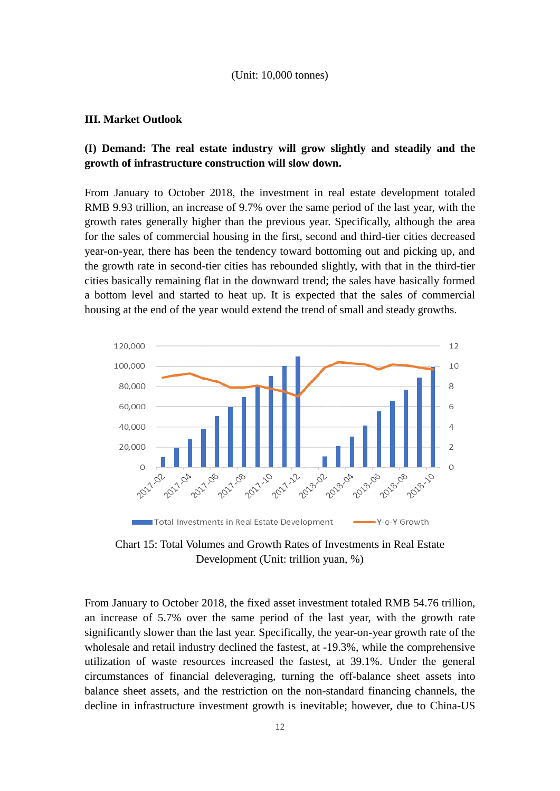#### (Unit: 10,000 tonnes)

#### **III. Market Outlook**

### **(I) Demand: The real estate industry will grow slightly and steadily and the growth of infrastructure construction will slow down.**

From January to October 2018, the investment in real estate development totaled RMB 9.93 trillion, an increase of 9.7% over the same period of the last year, with the growth rates generally higher than the previous year. Specifically, although the area for the sales of commercial housing in the first, second and third-tier cities decreased year-on-year, there has been the tendency toward bottoming out and picking up, and the growth rate in second-tier cities has rebounded slightly, with that in the third-tier cities basically remaining flat in the downward trend; the sales have basically formed a bottom level and started to heat up. It is expected that the sales of commercial housing at the end of the year would extend the trend of small and steady growths.



Chart 15: Total Volumes and Growth Rates of Investments in Real Estate Development (Unit: trillion yuan, %)

From January to October 2018, the fixed asset investment totaled RMB 54.76 trillion, an increase of 5.7% over the same period of the last year, with the growth rate significantly slower than the last year. Specifically, the year-on-year growth rate of the wholesale and retail industry declined the fastest, at -19.3%, while the comprehensive utilization of waste resources increased the fastest, at 39.1%. Under the general circumstances of financial deleveraging, turning the off-balance sheet assets into balance sheet assets, and the restriction on the non-standard financing channels, the decline in infrastructure investment growth is inevitable; however, due to China-US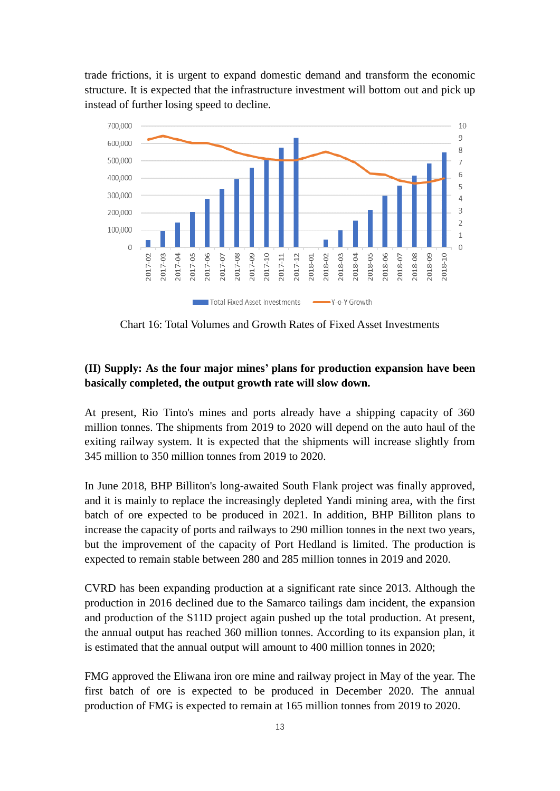trade frictions, it is urgent to expand domestic demand and transform the economic structure. It is expected that the infrastructure investment will bottom out and pick up instead of further losing speed to decline.



Chart 16: Total Volumes and Growth Rates of Fixed Asset Investments

## **(II) Supply: As the four major mines' plans for production expansion have been basically completed, the output growth rate will slow down.**

At present, Rio Tinto's mines and ports already have a shipping capacity of 360 million tonnes. The shipments from 2019 to 2020 will depend on the auto haul of the exiting railway system. It is expected that the shipments will increase slightly from 345 million to 350 million tonnes from 2019 to 2020.

In June 2018, BHP Billiton's long-awaited South Flank project was finally approved, and it is mainly to replace the increasingly depleted Yandi mining area, with the first batch of ore expected to be produced in 2021. In addition, BHP Billiton plans to increase the capacity of ports and railways to 290 million tonnes in the next two years, but the improvement of the capacity of Port Hedland is limited. The production is expected to remain stable between 280 and 285 million tonnes in 2019 and 2020.

CVRD has been expanding production at a significant rate since 2013. Although the production in 2016 declined due to the Samarco tailings dam incident, the expansion and production of the S11D project again pushed up the total production. At present, the annual output has reached 360 million tonnes. According to its expansion plan, it is estimated that the annual output will amount to 400 million tonnes in 2020;

FMG approved the Eliwana iron ore mine and railway project in May of the year. The first batch of ore is expected to be produced in December 2020. The annual production of FMG is expected to remain at 165 million tonnes from 2019 to 2020.